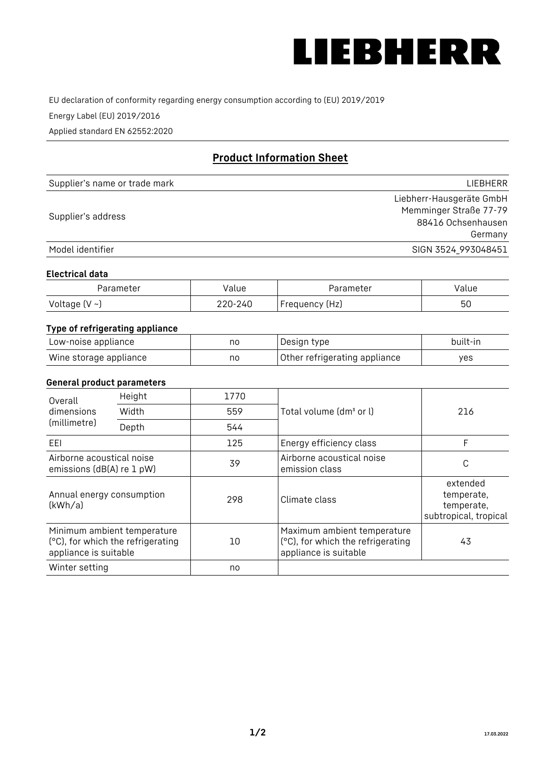

EU declaration of conformity regarding energy consumption according to (EU) 2019/2019

Energy Label (EU) 2019/2016

Applied standard EN 62552:2020

# **Product Information Sheet**

| Supplier's name or trade mark | LIEBHERR                 |
|-------------------------------|--------------------------|
|                               | Liebherr-Hausgeräte GmbH |
| Supplier's address            | Memminger Straße 77-79   |
|                               | 88416 Ochsenhausen       |
|                               | Germany                  |
| Model identifier              | SIGN 3524_993048451      |

#### **Electrical data**

| Parameter           | Value   | Parameter      | Value |
|---------------------|---------|----------------|-------|
| Voltage (V $\sim$ ) | 220-240 | Frequency (Hz) | 50    |

# **Type of refrigerating appliance**

| Low-noise appliance    | no | Design type                   | built-in |
|------------------------|----|-------------------------------|----------|
| Wine storage appliance | no | Other refrigerating appliance | ves      |

## **General product parameters**

| Height<br>Overall                                      |                                                                  | 1770 |                                                                                           |                                                               |
|--------------------------------------------------------|------------------------------------------------------------------|------|-------------------------------------------------------------------------------------------|---------------------------------------------------------------|
| dimensions<br>(millimetre)                             | Width                                                            | 559  | Total volume (dm <sup>3</sup> or l)                                                       | 216                                                           |
|                                                        | Depth                                                            | 544  |                                                                                           |                                                               |
| EEL                                                    |                                                                  | 125  | Energy efficiency class                                                                   | F                                                             |
| Airborne acoustical noise<br>emissions (dB(A) re 1 pW) |                                                                  | 39   | Airborne acoustical noise<br>emission class                                               | С                                                             |
| Annual energy consumption<br>(kWh/a)                   |                                                                  | 298  | Climate class                                                                             | extended<br>temperate,<br>temperate,<br>subtropical, tropical |
| appliance is suitable                                  | Minimum ambient temperature<br>(°C), for which the refrigerating | 10   | Maximum ambient temperature<br>(°C), for which the refrigerating<br>appliance is suitable | 43                                                            |
| Winter setting                                         |                                                                  | no   |                                                                                           |                                                               |